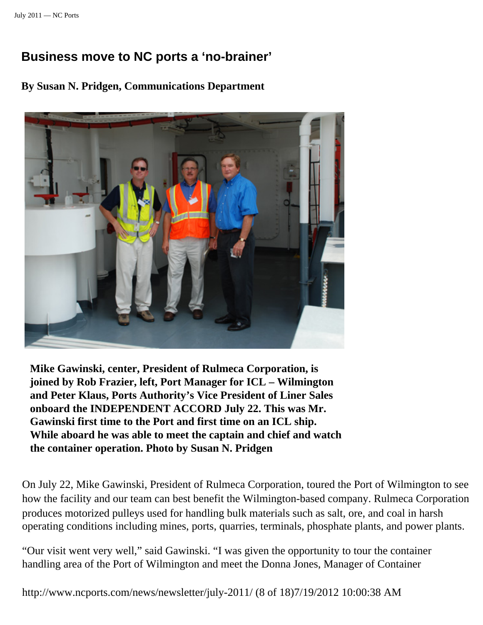## **Business move to NC ports a 'no-brainer'**

## **By Susan N. Pridgen, Communications Department**



**Mike Gawinski, center, President of Rulmeca Corporation, is joined by Rob Frazier, left, Port Manager for ICL – Wilmington and Peter Klaus, Ports Authority's Vice President of Liner Sales onboard the INDEPENDENT ACCORD July 22. This was Mr. Gawinski first time to the Port and first time on an ICL ship. While aboard he was able to meet the captain and chief and watch the container operation. Photo by Susan N. Pridgen**

On July 22, Mike Gawinski, President of Rulmeca Corporation, toured the Port of Wilmington to see how the facility and our team can best benefit the Wilmington-based company. Rulmeca Corporation produces motorized pulleys used for handling bulk materials such as salt, ore, and coal in harsh operating conditions including mines, ports, quarries, terminals, phosphate plants, and power plants.

"Our visit went very well," said Gawinski. "I was given the opportunity to tour the container handling area of the Port of Wilmington and meet the Donna Jones, Manager of Container